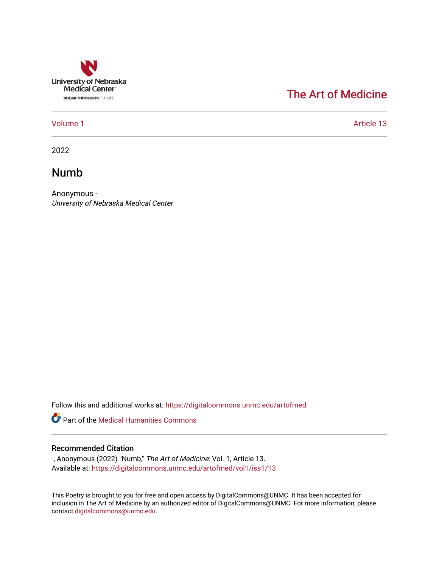

### [The Art of Medicine](https://digitalcommons.unmc.edu/artofmed)

[Volume 1](https://digitalcommons.unmc.edu/artofmed/vol1) Article 13

2022

#### Numb

Anonymous - University of Nebraska Medical Center

Follow this and additional works at: [https://digitalcommons.unmc.edu/artofmed](https://digitalcommons.unmc.edu/artofmed?utm_source=digitalcommons.unmc.edu%2Fartofmed%2Fvol1%2Fiss1%2F13&utm_medium=PDF&utm_campaign=PDFCoverPages)

Part of the [Medical Humanities Commons](http://network.bepress.com/hgg/discipline/1303?utm_source=digitalcommons.unmc.edu%2Fartofmed%2Fvol1%2Fiss1%2F13&utm_medium=PDF&utm_campaign=PDFCoverPages)

#### Recommended Citation

-, Anonymous (2022) "Numb," The Art of Medicine: Vol. 1, Article 13. Available at: [https://digitalcommons.unmc.edu/artofmed/vol1/iss1/13](https://digitalcommons.unmc.edu/artofmed/vol1/iss1/13?utm_source=digitalcommons.unmc.edu%2Fartofmed%2Fvol1%2Fiss1%2F13&utm_medium=PDF&utm_campaign=PDFCoverPages)

This Poetry is brought to you for free and open access by DigitalCommons@UNMC. It has been accepted for inclusion in The Art of Medicine by an authorized editor of DigitalCommons@UNMC. For more information, please contact [digitalcommons@unmc.edu](mailto:digitalcommons@unmc.edu).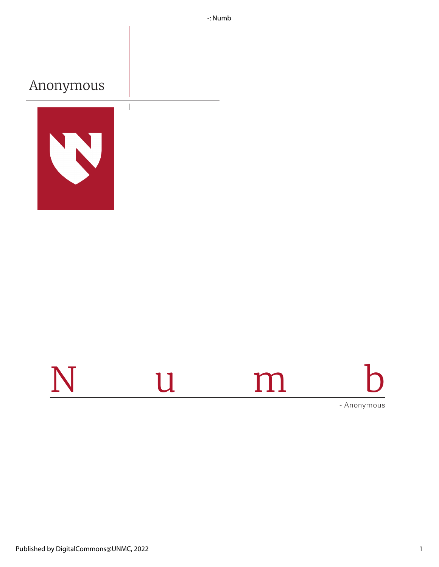-: Numb

## Anonymous



 $\overline{\phantom{a}}$ 

# Numb - Anonymous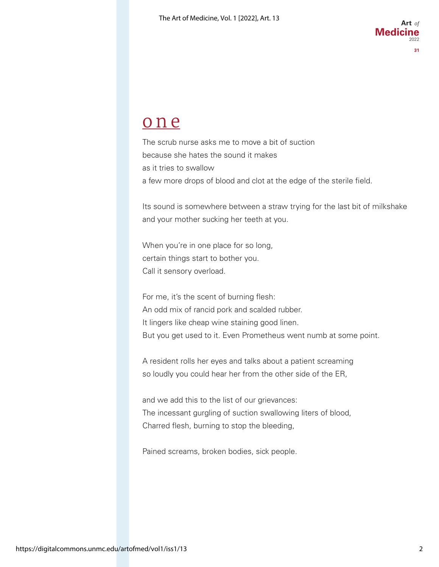## one

The scrub nurse asks me to move a bit of suction because she hates the sound it makes as it tries to swallow a few more drops of blood and clot at the edge of the sterile field.

Its sound is somewhere between a straw trying for the last bit of milkshake and your mother sucking her teeth at you.

When you're in one place for so long, certain things start to bother you. Call it sensory overload.

For me, it's the scent of burning flesh: An odd mix of rancid pork and scalded rubber. It lingers like cheap wine staining good linen. But you get used to it. Even Prometheus went numb at some point.

A resident rolls her eyes and talks about a patient screaming so loudly you could hear her from the other side of the ER,

and we add this to the list of our grievances: The incessant gurgling of suction swallowing liters of blood, Charred flesh, burning to stop the bleeding,

Pained screams, broken bodies, sick people.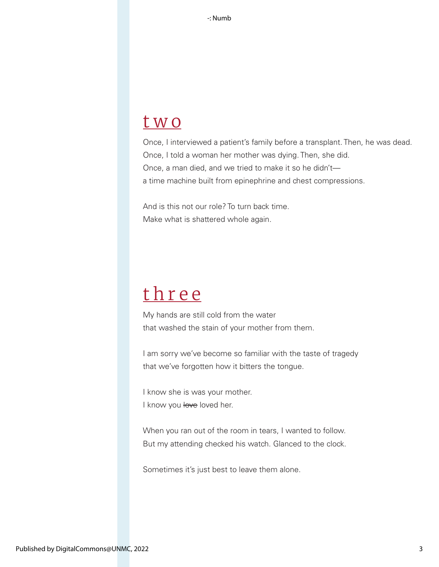## two

Once, I interviewed a patient's family before a transplant. Then, he was dead. Once, I told a woman her mother was dying. Then, she did. Once, a man died, and we tried to make it so he didn't a time machine built from epinephrine and chest compressions.

And is this not our role? To turn back time. Make what is shattered whole again.

## three

My hands are still cold from the water that washed the stain of your mother from them.

I am sorry we've become so familiar with the taste of tragedy that we've forgotten how it bitters the tongue.

I know she is was your mother. I know you love loved her.

When you ran out of the room in tears, I wanted to follow. But my attending checked his watch. Glanced to the clock.

Sometimes it's just best to leave them alone.